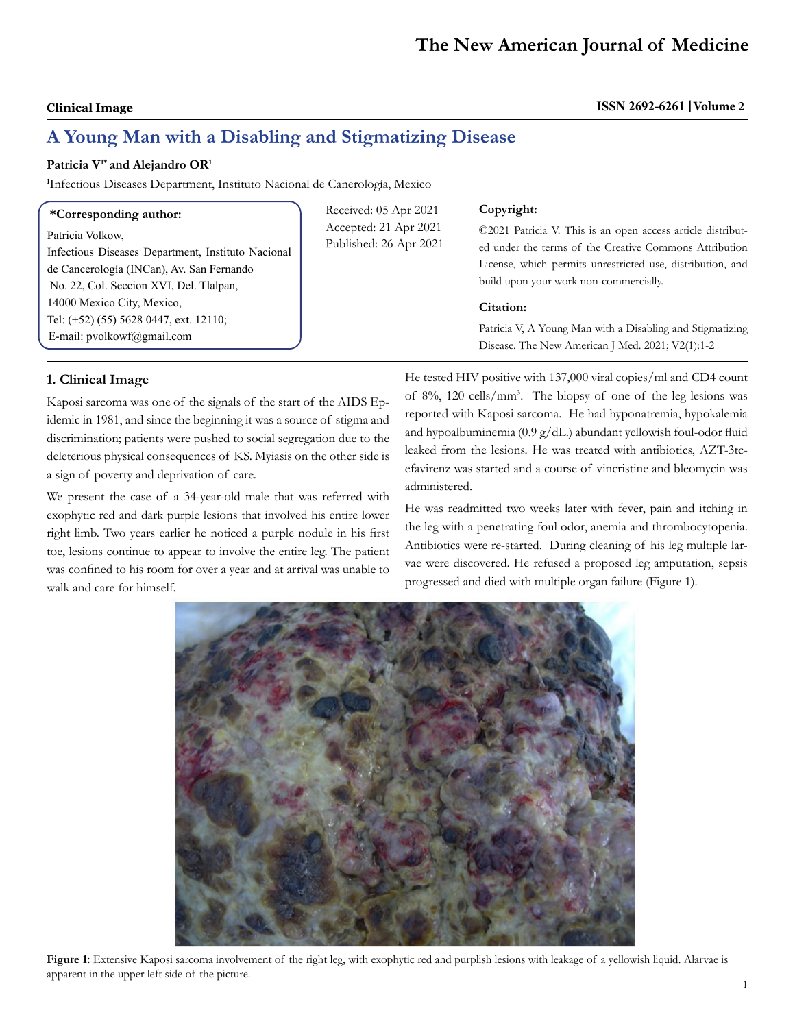# **Clinical Image ISSN 2692-6261 Volume 2**

# **A Young Man with a Disabling and Stigmatizing Disease**

# Patricia V<sup>1\*</sup> and Alejandro OR<sup>1</sup>

**1** Infectious Diseases Department, Instituto Nacional de Canerología, Mexico

| *Corresponding author: |  |
|------------------------|--|
|------------------------|--|

Patricia Volkow, Infectious Diseases Department, Instituto Nacional de Cancerología (INCan), Av. San Fernando No. 22, Col. Seccion XVI, Del. Tlalpan, 14000 Mexico City, Mexico, Tel: (+52) (55) 5628 0447, ext. 12110; E-mail: pvolkowf@gmail.com

Received: 05 Apr 2021 Accepted: 21 Apr 2021 Published: 26 Apr 2021

### **Copyright:**

©2021 Patricia V. This is an open access article distributed under the terms of the Creative Commons Attribution License, which permits unrestricted use, distribution, and build upon your work non-commercially.

### **Citation:**

Patricia V, A Young Man with a Disabling and Stigmatizing Disease. The New American J Med. 2021; V2(1):1-2

# **1. Clinical Image**

Kaposi sarcoma was one of the signals of the start of the AIDS Epidemic in 1981, and since the beginning it was a source of stigma and discrimination; patients were pushed to social segregation due to the deleterious physical consequences of KS. Myiasis on the other side is a sign of poverty and deprivation of care.

We present the case of a 34-year-old male that was referred with exophytic red and dark purple lesions that involved his entire lower right limb. Two years earlier he noticed a purple nodule in his first toe, lesions continue to appear to involve the entire leg. The patient was confined to his room for over a year and at arrival was unable to walk and care for himself.

He tested HIV positive with 137,000 viral copies/ml and CD4 count of 8%, 120 cells/mm3 . The biopsy of one of the leg lesions was reported with Kaposi sarcoma. He had hyponatremia, hypokalemia and hypoalbuminemia (0.9 g/dL.) abundant yellowish foul-odor fluid leaked from the lesions. He was treated with antibiotics, AZT-3tcefavirenz was started and a course of vincristine and bleomycin was administered.

He was readmitted two weeks later with fever, pain and itching in the leg with a penetrating foul odor, anemia and thrombocytopenia. Antibiotics were re-started. During cleaning of his leg multiple larvae were discovered. He refused a proposed leg amputation, sepsis progressed and died with multiple organ failure (Figure 1).



**Figure 1:** Extensive Kaposi sarcoma involvement of the right leg, with exophytic red and purplish lesions with leakage of a yellowish liquid. Alarvae is apparent in the upper left side of the picture.